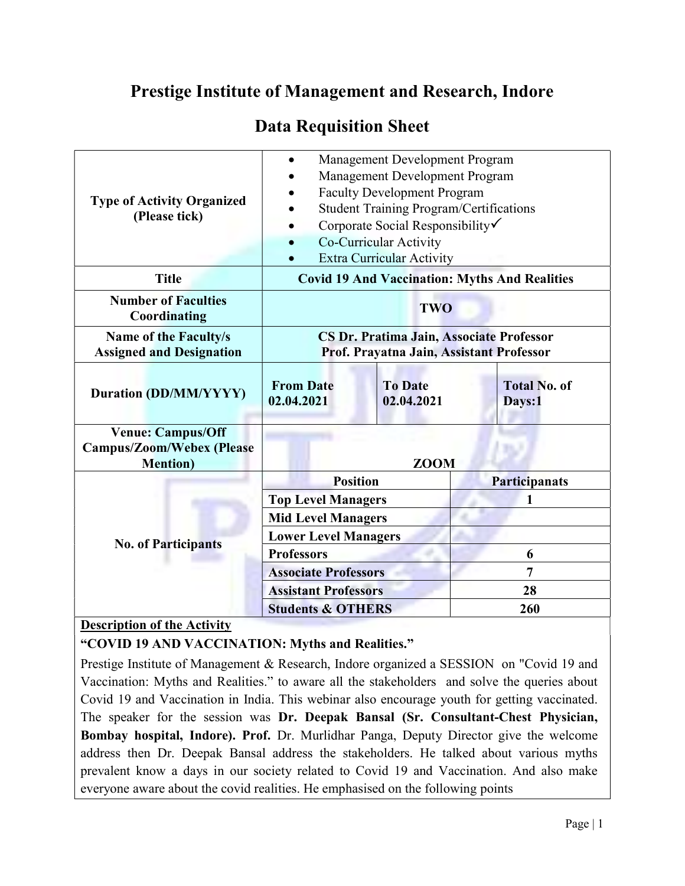## Prestige Institute of Management and Research, Indore

## Data Requisition Sheet

| <b>Type of Activity Organized</b><br>(Please tick)                               | Management Development Program<br>Management Development Program<br><b>Faculty Development Program</b><br><b>Student Training Program/Certifications</b><br>Corporate Social Responsibility<br>Co-Curricular Activity<br><b>Extra Curricular Activity</b> |                              |                               |
|----------------------------------------------------------------------------------|-----------------------------------------------------------------------------------------------------------------------------------------------------------------------------------------------------------------------------------------------------------|------------------------------|-------------------------------|
| <b>Title</b>                                                                     | <b>Covid 19 And Vaccination: Myths And Realities</b>                                                                                                                                                                                                      |                              |                               |
| <b>Number of Faculties</b><br><b>Coordinating</b>                                | <b>TWO</b>                                                                                                                                                                                                                                                |                              |                               |
| Name of the Faculty/s<br><b>Assigned and Designation</b>                         | CS Dr. Pratima Jain, Associate Professor<br>Prof. Prayatna Jain, Assistant Professor                                                                                                                                                                      |                              |                               |
| <b>Duration (DD/MM/YYYY)</b>                                                     | <b>From Date</b><br>02.04.2021                                                                                                                                                                                                                            | <b>To Date</b><br>02.04.2021 | <b>Total No. of</b><br>Days:1 |
| <b>Venue: Campus/Off</b><br><b>Campus/Zoom/Webex (Please</b><br><b>Mention</b> ) | <b>ZOOM</b>                                                                                                                                                                                                                                               |                              |                               |
| <b>No. of Participants</b>                                                       | <b>Position</b>                                                                                                                                                                                                                                           |                              | <b>Participanats</b>          |
|                                                                                  | <b>Top Level Managers</b>                                                                                                                                                                                                                                 |                              | 1                             |
|                                                                                  | <b>Mid Level Managers</b>                                                                                                                                                                                                                                 |                              |                               |
|                                                                                  | <b>Lower Level Managers</b>                                                                                                                                                                                                                               |                              |                               |
|                                                                                  | <b>Professors</b>                                                                                                                                                                                                                                         |                              | 6                             |
|                                                                                  | <b>Associate Professors</b>                                                                                                                                                                                                                               |                              | $\overline{7}$                |
|                                                                                  | <b>Assistant Professors</b>                                                                                                                                                                                                                               |                              | 28                            |
|                                                                                  | <b>Students &amp; OTHERS</b>                                                                                                                                                                                                                              |                              | 260                           |

## Description of the Activity

"COVID 19 AND VACCINATION: Myths and Realities."

Prestige Institute of Management & Research, Indore organized a SESSION on "Covid 19 and Vaccination: Myths and Realities." to aware all the stakeholders and solve the queries about Covid 19 and Vaccination in India. This webinar also encourage youth for getting vaccinated. The speaker for the session was Dr. Deepak Bansal (Sr. Consultant-Chest Physician, Bombay hospital, Indore). Prof. Dr. Murlidhar Panga, Deputy Director give the welcome address then Dr. Deepak Bansal address the stakeholders. He talked about various myths prevalent know a days in our society related to Covid 19 and Vaccination. And also make everyone aware about the covid realities. He emphasised on the following points